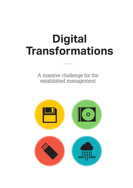# **Digital Transformations**

A massive challenge for the established management

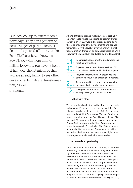Our kids look up to different idols nowadays. They don't perform on actual stages or play on football fields – they are YouTube stars like Felix Kjellberg, better known as PewDiePie, with more than 40 million followers. You haven't heard of him yet? Then it might be that you are already failing to see other developments in digital transformation, as well.

by Klaus Birklbauer

As one of this magazine's readers, you are probably amongst those whose task it is to structure transformation in this VUCA world. The prerequisite to doing that is to understand the developments and connections. Generally, the level of involvement with digital transformation (from now on only abbreviated as DX) is shown in the latest study conducted by IDC (for Austria):

| $14$ Resister: skeptical or without DX awareness,<br>eacting only ad hoc.                             |
|-------------------------------------------------------------------------------------------------------|
| $40%$ Explorer: has noticed the necessity of DX,<br>runs only uncoordinated individual projects.      |
| $23$ Player: has formulated DX objectives and<br>$23$ % strategies, focus is on existing competitors. |
| $21$ Transformer: DX is part of company culture,<br>$21$ % develops digital products and services.    |
| $2$ <sup>%</sup> Disruptor: disruptive visionary, works with entirely new digital business models.    |

# Old hat with clout

The term »digital« might be old hat, but it is especially striking now: Premium end devices are available for (almost) everybody, since it costs US\$ 10 to manufacture an Indian tablet, for example. Well-performing Internet is omnipresent – for five billion people by 2020, making it 50 percent of the entire global population. Google Balloon supports the idea of complete coverage, beginning in Sri Lanka in 2016. Data grows exponentially, like the number of sensors in ten billion networked devices. And we users are big digital gossipmongers, as well – evaluable, networkable.

## Hardware is so yesterday

Tomorrow is all about software: The ability to become the leading provider of a whole industry without owning one hotel or taxicab is a well-known fact. 100 million code lines in the embedded software of the Mercedes S Class show battles between developers of luxury cars – hardware as the competitive advantage is being replaced more and more by software. Sensors in wear parts in paper factories inform not only about cost-optimized replacement time. The entire process can be observed digitally. The next step is connected to it: the monetization of data. Digital data,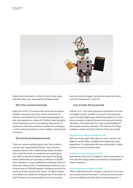

linked and processed, is often of much more value than the wear part, meaning the hardware itself.

#### DX in the commercial break

Eight out of ten TV commercials show new business models: www.aboutyou.at to search and shop for fashion; www.babbel.com for learning languages online; www.weg.de as a place for finding travel bargains; www.misterspex.com for purchasing spectacles, to name just a few. New business models are coming up – in the areas of business, travel, mobility, banking and insurance.

## DX and the professional world

There are some exciting topics here: One is that in entirely new organizational forms, one's own employees interact with collaborating robots. Another one is that the limits of companies are opening up and staff on demand enables new ways of working: www.clickworker.com provides a network of 20,000 micro-jobbers in Austria (800,000 worldwide). Most of them earn below € 5/h. At www.designcrowd.com, you have access to 500,000 graphic designers around the world, and www.upwork.com hosts 15 million freelancers. When we visited the headquarters of the latter in San Francisco, we learned about a lot of upcoming

new services for bigger companies as well as a labor union for freelancers in the U.S.

# Lots of other DX buzzwords

Industry 4.0 – the cyber-physical link between the real and digital worlds, enables us to look at the physical world through digital eyes, identifying patterns in complex processes, organizing autonomously and making decisions. This also leads to a new understanding of the human-machine interface. The Internet of Things enables a whole new field: Internet of Services (IoS).

#### Big data and artificial intelligence (AI)

Both are fed by giant data lakes of users' sensor and digital moment data, compiled and enhanced using algorithms. To understand AI more profoundly, it helps to have a more structured view.

#### Artificial narrow intelligence (ANI)

Sometimes referred to as Weak AI, which specializes in one area like doing speech processing or beating the chess champion.

#### Artificial general intelligence (AGI)

Often called Strong AI or Human-Level AI, it is as smart as a human across the board – a machine that can perform any intellectual tasks that a human being can.